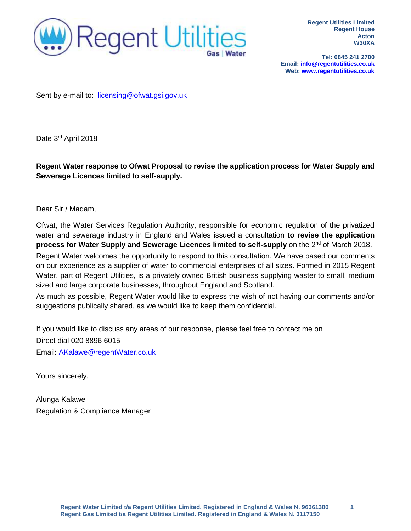

**Tel: 0845 241 2700 Email: [info@regentutilities.co.uk](mailto:info@regentutilities.co.uk) Web[: www.regentutilities.co.uk](http://www.regentutilities.co.uk/)**

Sent by e-mail to: [licensing@ofwat.gsi.gov.uk](mailto:licensing@ofwat.gsi.gov.uk)

Date 3<sup>rd</sup> April 2018

**Regent Water response to Ofwat Proposal to revise the application process for Water Supply and Sewerage Licences limited to self-supply.**

Dear Sir / Madam,

Ofwat, the Water Services Regulation Authority, responsible for economic regulation of the privatized water and sewerage industry in England and Wales issued a consultation **to revise the application**  process for Water Supply and Sewerage Licences limited to self-supply on the 2<sup>nd</sup> of March 2018. Regent Water welcomes the opportunity to respond to this consultation. We have based our comments on our experience as a supplier of water to commercial enterprises of all sizes. Formed in 2015 Regent Water, part of Regent Utilities, is a privately owned British business supplying waster to small, medium sized and large corporate businesses, throughout England and Scotland.

As much as possible, Regent Water would like to express the wish of not having our comments and/or suggestions publically shared, as we would like to keep them confidential.

If you would like to discuss any areas of our response, please feel free to contact me on

Direct dial 020 8896 6015

Email: [AKalawe@regentWater.co.uk](mailto:AKalawe@regentWater.co.uk)

Yours sincerely,

Alunga Kalawe Regulation & Compliance Manager